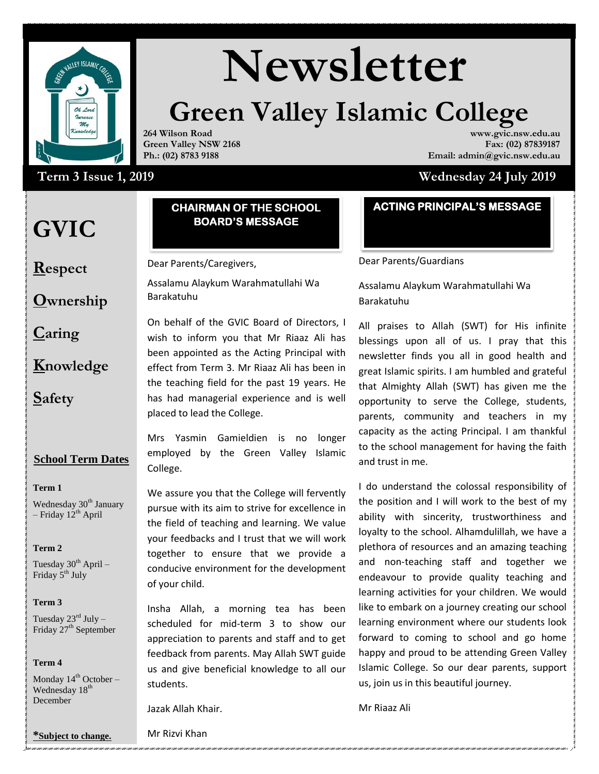

# **Newsletter**

# **Green Valley Islamic College**

**264 Wilson Road Green Valley NSW 2168 Ph.: (02) 8783 9188**

## Term 3 Issue 1, 2019

# **GVIC**

**Respect**

#### **CHAIRMAN OF THE SCHOOL BOARD'S MESSAGE**

Dear Parents/Caregivers,

Assalamu Alaykum Warahmatullahi Wa Barakatuhu

**Caring**

**Knowledge**

**Ownership**

**Safety**

### **School Term Dates**

#### **Term 1**

Wednesday 30<sup>th</sup> January – Friday  $12^{th}$  April

#### **Term 2**

Tuesday  $30^{th}$  April – Friday 5<sup>th</sup> July

#### **Term 3**

Tuesday  $23^{\text{rd}}$  July – Friday 27<sup>th</sup> September

#### **Term 4**

Monday  $14^{th}$  October – Wednesday 18<sup>th</sup> December

On behalf of the GVIC Board of Directors, I wish to inform you that Mr Riaaz Ali has been appointed as the Acting Principal with effect from Term 3. Mr Riaaz Ali has been in the teaching field for the past 19 years. He has had managerial experience and is well placed to lead the College.

Mrs Yasmin Gamieldien is no longer employed by the Green Valley Islamic College.

We assure you that the College will fervently pursue with its aim to strive for excellence in the field of teaching and learning. We value your feedbacks and I trust that we will work together to ensure that we provide a conducive environment for the development of your child.

scheduled for mid-term 3 to show our learnir Insha Allah, a morning tea has been appreciation to parents and staff and to get feedback from parents. May Allah SWT guide us and give beneficial knowledge to all our students.

Jazak Allah Khair.

### **ACTING PRINCIPAL'S MESSAGE**

**www.gvic.nsw.edu.au Fax: (02) 87839187**

**Email: admin@gvic.nsw.edu.au**

 **Term 3 Issue 1, 2019 Wednesday 24 July 2019**

Dear Parents/Guardians

Assalamu Alaykum Warahmatullahi Wa Barakatuhu

All praises to Allah (SWT) for His infinite blessings upon all of us. I pray that this newsletter finds you all in good health and great Islamic spirits. I am humbled and grateful that Almighty Allah (SWT) has given me the opportunity to serve the College, students, parents, community and teachers in my capacity as the acting Principal. I am thankful to the school management for having the faith and trust in me.

I do understand the colossal responsibility of the position and I will work to the best of my ability with sincerity, trustworthiness and loyalty to the school. Alhamdulillah, we have a plethora of resources and an amazing teaching and non-teaching staff and together we endeavour to provide quality teaching and learning activities for your children. We would like to embark on a journey creating our school learning environment where our students look forward to coming to school and go home happy and proud to be attending Green Valley Islamic College. So our dear parents, support us, join us in this beautiful journey.

Mr Riaaz Ali

**\*Subject to change.**

Mr Rizvi Khan